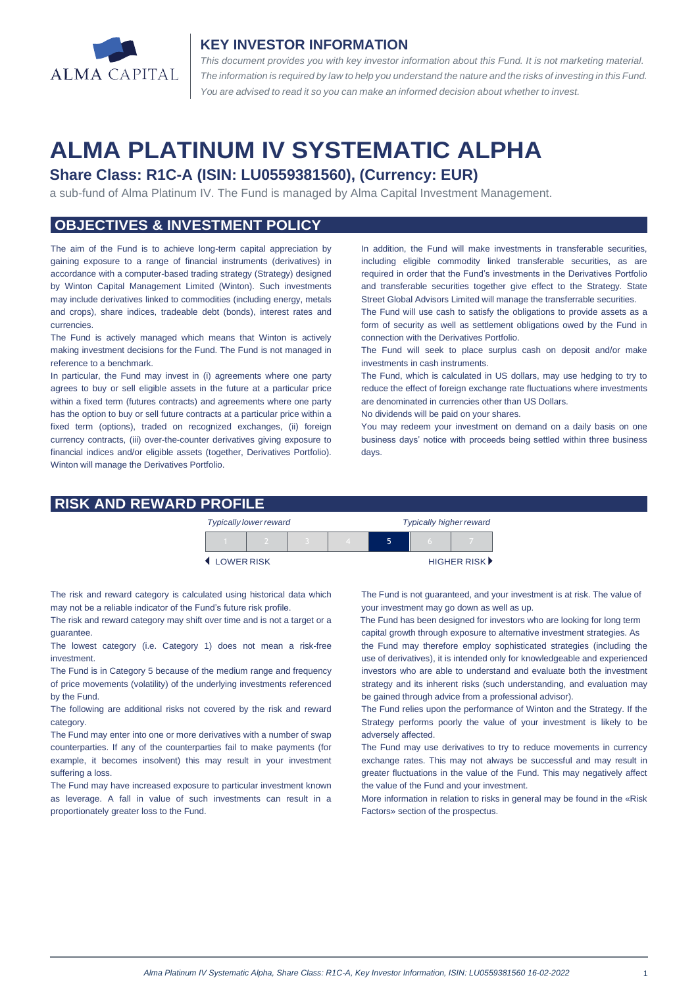

#### **KEY INVESTOR INFORMATION**

*This document provides you with key investor information about this Fund. It is not marketing material.*  The information is required by law to help you understand the nature and the risks of investing in this Fund. *You are advised to read it so you can make an informed decision about whether to invest.*

# **ALMA PLATINUM IV SYSTEMATIC ALPHA**

## **Share Class: R1C-A (ISIN: LU0559381560), (Currency: EUR)**

a sub-fund of Alma Platinum IV. The Fund is managed by Alma Capital Investment Management.

### **OBJECTIVES & INVESTMENT POLICY**

The aim of the Fund is to achieve long-term capital appreciation by gaining exposure to a range of financial instruments (derivatives) in accordance with a computer-based trading strategy (Strategy) designed by Winton Capital Management Limited (Winton). Such investments may include derivatives linked to commodities (including energy, metals and crops), share indices, tradeable debt (bonds), interest rates and currencies.

The Fund is actively managed which means that Winton is actively making investment decisions for the Fund. The Fund is not managed in reference to a benchmark.

In particular, the Fund may invest in (i) agreements where one party agrees to buy or sell eligible assets in the future at a particular price within a fixed term (futures contracts) and agreements where one party has the option to buy or sell future contracts at a particular price within a fixed term (options), traded on recognized exchanges, (ii) foreign currency contracts, (iii) over-the-counter derivatives giving exposure to financial indices and/or eligible assets (together, Derivatives Portfolio). Winton will manage the Derivatives Portfolio.

In addition, the Fund will make investments in transferable securities, including eligible commodity linked transferable securities, as are required in order that the Fund's investments in the Derivatives Portfolio and transferable securities together give effect to the Strategy. State Street Global Advisors Limited will manage the transferrable securities.

The Fund will use cash to satisfy the obligations to provide assets as a form of security as well as settlement obligations owed by the Fund in connection with the Derivatives Portfolio.

The Fund will seek to place surplus cash on deposit and/or make investments in cash instruments.

The Fund, which is calculated in US dollars, may use hedging to try to reduce the effect of foreign exchange rate fluctuations where investments are denominated in currencies other than US Dollars.

No dividends will be paid on your shares.

You may redeem your investment on demand on a daily basis on one business days' notice with proceeds being settled within three business days

#### **RISK AND REWARD PROFILE**

|            | <b>Typically lower reward</b> |  | <b>Typically higher reward</b> |  |  |                             |
|------------|-------------------------------|--|--------------------------------|--|--|-----------------------------|
|            |                               |  |                                |  |  |                             |
| LOWER RISK |                               |  |                                |  |  | HIGHER RISK <sup>&gt;</sup> |

The risk and reward category is calculated using historical data which may not be a reliable indicator of the Fund's future risk profile.

The risk and reward category may shift over time and is not a target or a guarantee.

The lowest category (i.e. Category 1) does not mean a risk-free investment.

The Fund is in Category 5 because of the medium range and frequency of price movements (volatility) of the underlying investments referenced by the Fund.

The following are additional risks not covered by the risk and reward category.

The Fund may enter into one or more derivatives with a number of swap counterparties. If any of the counterparties fail to make payments (for example, it becomes insolvent) this may result in your investment suffering a loss.

The Fund may have increased exposure to particular investment known as leverage. A fall in value of such investments can result in a proportionately greater loss to the Fund.

The Fund is not guaranteed, and your investment is at risk. The value of your investment may go down as well as up.

 The Fund has been designed for investors who are looking for long term capital growth through exposure to alternative investment strategies. As

the Fund may therefore employ sophisticated strategies (including the use of derivatives), it is intended only for knowledgeable and experienced investors who are able to understand and evaluate both the investment strategy and its inherent risks (such understanding, and evaluation may be gained through advice from a professional advisor).

The Fund relies upon the performance of Winton and the Strategy. If the Strategy performs poorly the value of your investment is likely to be adversely affected.

The Fund may use derivatives to try to reduce movements in currency exchange rates. This may not always be successful and may result in greater fluctuations in the value of the Fund. This may negatively affect the value of the Fund and your investment.

More information in relation to risks in general may be found in the «Risk Factors» section of the prospectus.